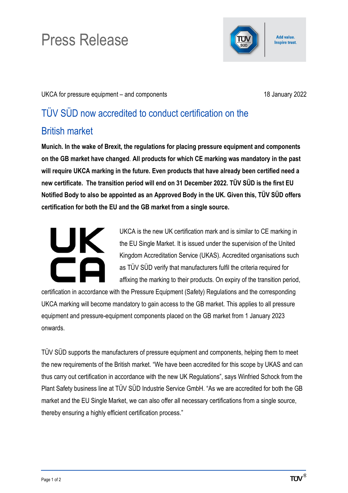## Press Release

Add value. **Inspire trust.** 

UKCA for pressure equipment – and components 18 January 2022

## TÜV SÜD now accredited to conduct certification on the British market

**Munich. In the wake of Brexit, the regulations for placing pressure equipment and components on the GB market have changed**. **All products for which CE marking was mandatory in the past will require UKCA marking in the future. Even products that have already been certified need a new certificate. The transition period will end on 31 December 2022. TÜV SÜD is the first EU Notified Body to also be appointed as an Approved Body in the UK. Given this, TÜV SÜD offers certification for both the EU and the GB market from a single source.**

## UK.

UKCA is the new UK certification mark and is similar to CE marking in the EU Single Market. It is issued under the supervision of the United Kingdom Accreditation Service (UKAS). Accredited organisations such as TÜV SÜD verify that manufacturers fulfil the criteria required for affixing the marking to their products. On expiry of the transition period,

certification in accordance with the Pressure Equipment (Safety) Regulations and the corresponding UKCA marking will become mandatory to gain access to the GB market. This applies to all pressure equipment and pressure-equipment components placed on the GB market from 1 January 2023 onwards.

TÜV SÜD supports the manufacturers of pressure equipment and components, helping them to meet the new requirements of the British market. "We have been accredited for this scope by UKAS and can thus carry out certification in accordance with the new UK Regulations", says Winfried Schock from the Plant Safety business line at TÜV SÜD Industrie Service GmbH. "As we are accredited for both the GB market and the EU Single Market, we can also offer all necessary certifications from a single source, thereby ensuring a highly efficient certification process."